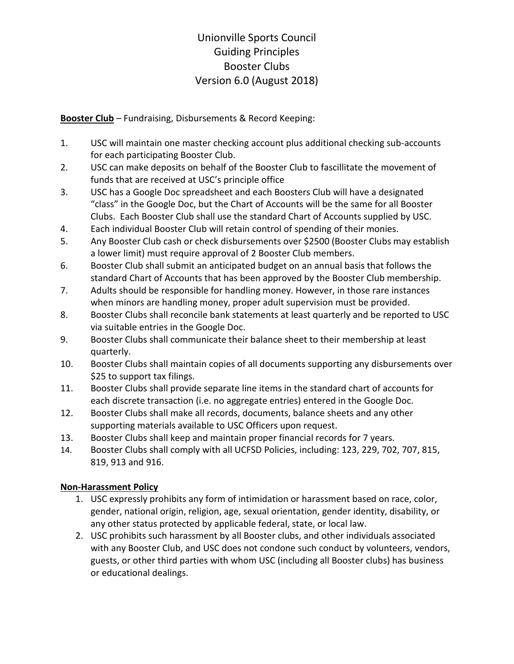## Unionville Sports Council Guiding Principles Booster Clubs Version 6.0 (August 2018)

**Booster Club** – Fundraising, Disbursements & Record Keeping:

- 1. USC will maintain one master checking account plus additional checking sub-accounts for each participating Booster Club.
- 2. USC can make deposits on behalf of the Booster Club to fascillitate the movement of funds that are received at USC's principle office
- 3. USC has a Google Doc spreadsheet and each Boosters Club will have a designated "class" in the Google Doc, but the Chart of Accounts will be the same for all Booster Clubs. Each Booster Club shall use the standard Chart of Accounts supplied by USC.
- 4. Each individual Booster Club will retain control of spending of their monies.
- 5. Any Booster Club cash or check disbursements over \$2500 (Booster Clubs may establish a lower limit) must require approval of 2 Booster Club members.
- 6. Booster Club shall submit an anticipated budget on an annual basis that follows the standard Chart of Accounts that has been approved by the Booster Club membership.
- 7. Adults should be responsible for handling money. However, in those rare instances when minors are handling money, proper adult supervision must be provided.
- 8. Booster Clubs shall reconcile bank statements at least quarterly and be reported to USC via suitable entries in the Google Doc.
- 9. Booster Clubs shall communicate their balance sheet to their membership at least quarterly.
- 10. Booster Clubs shall maintain copies of all documents supporting any disbursements over \$25 to support tax filings.
- 11. Booster Clubs shall provide separate line items in the standard chart of accounts for each discrete transaction (i.e. no aggregate entries) entered in the Google Doc.
- 12. Booster Clubs shall make all records, documents, balance sheets and any other supporting materials available to USC Officers upon request.
- 13. Booster Clubs shall keep and maintain proper financial records for 7 years.
- 14. Booster Clubs shall comply with all UCFSD Policies, including: 123, 229, 702, 707, 815, 819, 913 and 916.

## **Non-Harassment Policy**

- 1. USC expressly prohibits any form of intimidation or harassment based on race, color, gender, national origin, religion, age, sexual orientation, gender identity, disability, or any other status protected by applicable federal, state, or local law.
- 2. USC prohibits such harassment by all Booster clubs, and other individuals associated with any Booster Club, and USC does not condone such conduct by volunteers, vendors, guests, or other third parties with whom USC (including all Booster clubs) has business or educational dealings.